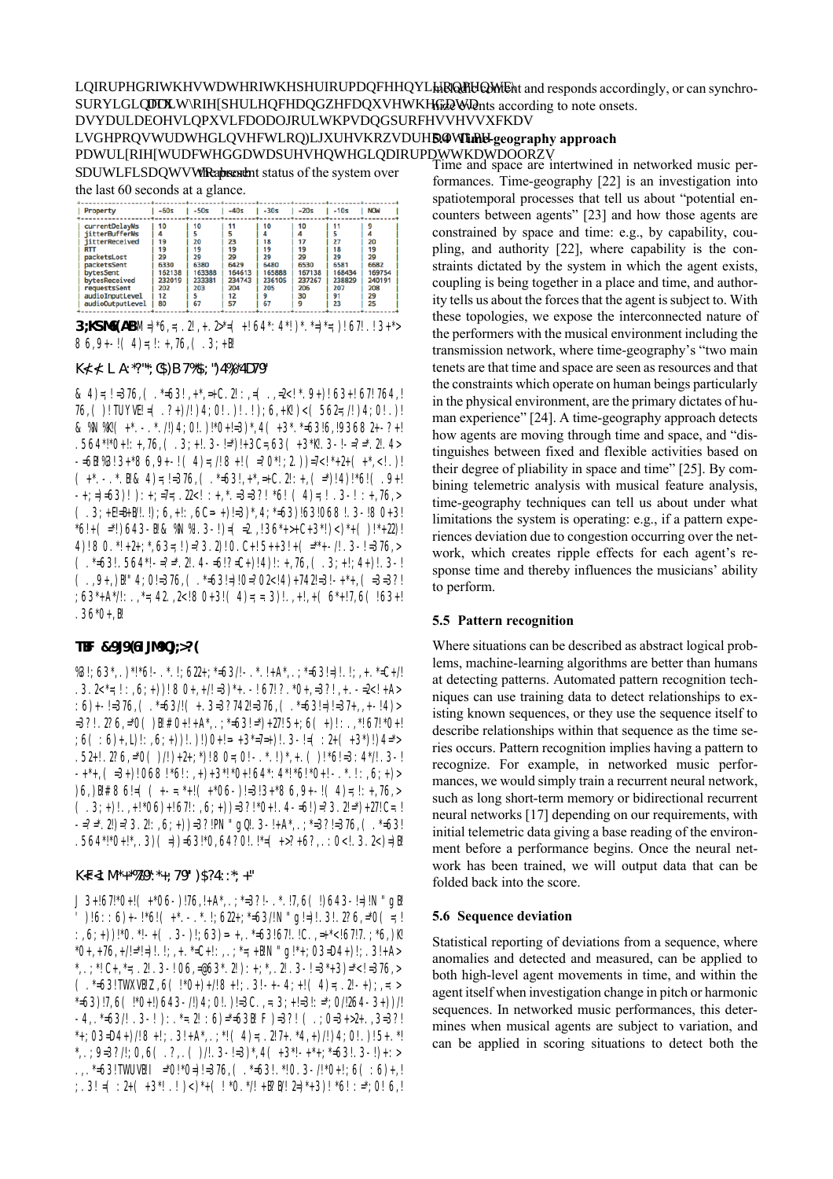absorb the present status of the system over the last 60 seconds at a glance.

| $-20s$<br>$-60s$<br>$-50s$<br>$-40s$<br>$-30s$<br>$-10s$<br><b>NOW</b><br>Property<br>currentDelayMs<br>10<br>10<br>10<br>11<br>10<br>11<br>۹<br><i>iitterBufferMs</i><br>5<br>4<br>5<br>4<br>4<br>5<br>27<br>23<br>20<br>18<br>17<br>iitterReceived<br>19<br>20<br>19<br>19<br>19<br>19<br>19<br>18<br>19<br><b>RTT</b><br>29<br>29<br>29<br>29<br>29<br>29<br>29<br>packetsLost |             |      |      |      |      |      |      |      |
|-----------------------------------------------------------------------------------------------------------------------------------------------------------------------------------------------------------------------------------------------------------------------------------------------------------------------------------------------------------------------------------|-------------|------|------|------|------|------|------|------|
|                                                                                                                                                                                                                                                                                                                                                                                   |             |      |      |      |      |      |      |      |
| 165888<br>167138<br>168434<br>169754<br>162138<br>163388<br>164613<br>bytesSent<br>bytesReceived<br>236105<br>232019<br>233381<br>234743<br>237267<br>238829<br>240191<br>203<br>204<br>205<br>206<br>207<br>208<br>requestsSent<br>202<br>12<br>29<br>12<br>30<br>91<br>9<br>audioInputLevel<br>67<br>23<br>67<br>57<br>audioOutputLevel<br>80<br>9<br>25                        | packetsSent | 6330 | 6380 | 6429 | 6480 | 6530 | 6581 | 6682 |

**3;KSM6**(AB! M=)\*6,=; .2!, + . 2<sup>\*</sup>= ( +! 64\*: 4\*!)\*. \*=)\*=; )! 67! . ! 3+\*>  $86,9+-!$  (4)=;!:+,76, (.3;+8!

## $K\left(\frac{1}{2} L A.^{*}$ ?"\*; C\$) B7\\{\*\$; ")4\\}\*4D79"

& 4)=;!=376,  $(*=63!, **=+C.2"::=(-,-2<(*.9+)(63+167.764,1))$ 76, ( )! TUYVE! =  $(. ?+)/!)4;0!$  . )! .!  $);6,+\mathbb{K}$ !  $) < (562=;!/!)4;0!$  .)! & \\[\mathbf{N\\le (\text{+\*, -, \*,/!)4;0!,)!\*0+!=3)\*,4 (+3\*, \*=63!6,!93682+-?+!}  $.564^{*}{\frac{18}{10}}+!$ : +,76, ( $.3;$  +! $.3$  - !=\*)!+3C=,63 ( $+3*$ )! $.3$  - !-=?=\*.2!.4>  $-56\frac{1}{2}\%3!3+86,9-1(4)=1/8+1(-20*1;2))=7<1*2+(1*3-1)$  $(**.*.$   $\&4)::=376$ ,  $(*=63!, **,-+C.2!+, (*=)(4)*6!$  (..9+1)  $-+;=$   $(53)!$   $):+;=7=; .22.  $=3=3$ ?!  $*6!$   $(4)=;! .3-! :+76$ ,$  $(.3; +EE+1/1.!)$ ; 6, +!:, 6C=-+)!=3)\*, 4;\*=63)!63!068!. 3-!80+3!  $*6!$  + ( $=$ \*!)643-B! & \N\\le ! 3-!) = ( $=$ 2.,!36\*+>+C+3\*!)<)\*+ ()!\*+22)! 4)!  $80.*!+2+;*,63=;!)=?3.2|0.C+!5++3!+(**+-.1.3-!=376,>)$  $(.*-63!.564*-2-*.2!.4-5!/2C+)!4)!$ ; +,76,  $(.3;+1;4+)!.3-!$  $(.9+, )$   $\lbrack ! \rbrack$   $\lbrack 4; 0 \rbrack$  = 376,  $(. * _{5} 3! = )! 0 = ? 02 < ! 4) + 742! = 3! - + * +$ ,  $( = 3 = 3 ?!$  $.36*0+.$ 

### TBF &9J9(6IJM90J;>?(

 $\frac{1}{2}$  (53\*, .)\*!\*6!-.\*.!;622+;\*=63/!-.\*.!+A\*,.;\*=63!=)!.!;,+.\*=C+/!  $.3.2 \leq i : (6; +)$   $.80 + (-1/2) * (-1/2) * (-1/2) * (-1/2) * (-1/2) * (-1/2) * (-1/2) * (-1/2) * (-1/2) * (-1/2) * (-1/2) * (-1/2) * (-1/2) * (-1/2) * (-1/2) * (-1/2) * (-1/2) * (-1/2) * (-1/2) * (-1/2) * (-1/2) * (-1/2) * (-1/2) * (-1/2) * (-1/2) * (-1/2) * (-1/2) * (-1/2) * (-1/2) * (-1/2) * (-1/2) * (-1/2) * (-1/2) * ( (1.6)$ +- $! = 376$ ,  $(1.5 = 63)$ ! $(1.3 = 37742! = 376$ ,  $(1.5 = 63! = 1157 + 1.5)$  $=3$ ?!.2?6,=\*0 () $\frac{3!}{10}$   $\frac{1}{10}$  +!+A\*, .;\*=63!=\*)+27!5+;6 (+)!:.,\*!67!\*0+! .52+!.2?6,=\*0 ()/!)+2+;\*)!80=;0!-.\*.!)\*,+. ()!\*6!=3:4\*/!.3-!  $-++$ ,  $(-3+)$ !068!\*6!:, +)+3\*!\*0+!64\*:4\*!\*6!\*0+!-.\*.!:,6;+)>  $(6, )$   $\frac{1!}{1!}$   $\frac{1!}{8!}$   $\frac{1!}{8!}$   $\frac{1!}{8!}$   $\frac{1!}{8!}$   $\frac{1!}{8!}$   $\frac{1!}{8!}$   $\frac{1!}{8!}$   $\frac{1!}{8!}$   $\frac{1!}{8!}$   $\frac{1!}{8!}$   $\frac{1!}{8!}$   $\frac{1!}{8!}$   $\frac{1!}{8!}$   $\frac{1!}{8!}$   $\frac{1!}{8!}$   $\frac{1!}{8!}$   $\frac{1!}{8!}$  $(.3;+)!..+!*06)+167!:,6;+)$ =3?!\*0+!.4-=6!)=?3.2!=\*)+27!C=.! .564\*!\*0+!\*,.3)(=))=63!\*0,64?0!.!\*=(+>?+6?,.:0<!.3.2<)=)}!

#### $K$   $K$   $I$   $M^*$  +  $\frac{1}{2}$   $79"$   $\cdot$   $*$  +  $\cdot$   $79"$   $\cdot$   $)$   $$$   $?$   $4$   $\cdot$   $\cdot$   $*$   $\cdot$   $+$   $"$

 $J3+167$ :\*0+!  $(+*06-)$ :76,  $+A*$ ,  $,+3$ ?!-  $-.7,6$  (!)643- $\pm$ ):N" g}! ' )!6::6)+-!\*6! ( +\*. - .\* .!;622+;\*=63/!N" g!=)!.3!.2?6,=\*0 ( =;! :,6;+))!\*0.\*!-+(.3-)!;63)=-+,.\*=63!67!.!C.,=+\*<!67!7.;\*6,) $\&$ !  $*0+,+76,+/!$ : $*!$ : $).$ : $;$ + $.*$ : $C+$ ::,.; $*$ : $+$ . $B!N"g$ ! $*$ ;03-D4+ $).$ ;.3!+A> \*,.;\*!C+,\*=;.2!.3-!06,=@63\*.2!):+;\*,.2!.3-!=3\*+3)=\*<!=376,>  $(.*-63!TWXVB!Z,6(.*0+)+/8+!; .3!-+-4; +!(.4)=; .2!-+); -:=$  $*=63$ )!7,6 ( $*0+$ !)643-/!)4;0!.)!=3C.,=.3;+!=3!:= $*$ ;0/!264-3+))/!  $-4,$   $-53/1$   $-3$   $-1$   $):$   $-21$   $-59-531$   $F$   $-37$   $($   $-3+2+$   $-3-37$  $*+;03=DA+)/!8+!; .3!+A*, .;*! (4)=; .2!7+.*4,+)/!/4;0! .)!5+.*!$ \*, :  $9-3$ ?/!; 0,6 ( . ?, . ( )/!. 3 - !=3)\*, 4 ( +3\*! - +\*+; \*=63!. 3 -!)+: > .,.\*=63!TWUVE! I =\*0!\*0=)!=376, (.\*=63!.\*!0.3-/!\*0+!;6 (:6)+,!  $\cdot$ ; .3! = ( :2+ ( +3\*! .! ) < )\*+ ( ! \*0.\*/! + }?}}/! 2=)\*+3)! \*6! :=\*;0! 6,!

melodic content and responds accordingly, or can synchronize events according to note onsets.

## 5.4 Time-geography approach

Time and space are intertwined in networked music performances. Time-geography [22] is an investigation into spatiotemporal processes that tell us about "potential encounters between agents" [23] and how those agents are constrained by space and time: e.g., by capability, coupling, and authority [22], where capability is the constraints dictated by the system in which the agent exists, coupling is being together in a place and time, and authority tells us about the forces that the agent is subject to. With these topologies, we expose the interconnected nature of the performers with the musical environment including the transmission network, where time-geography's "two main tenets are that time and space are seen as resources and that the constraints which operate on human beings particularly in the physical environment, are the primary dictates of human experience" [24]. A time-geography approach detects how agents are moving through time and space, and "distinguishes between fixed and flexible activities based on their degree of pliability in space and time" [25]. By combining telemetric analysis with musical feature analysis, time-geography techniques can tell us about under what limitations the system is operating: e.g., if a pattern experiences deviation due to congestion occurring over the network, which creates ripple effects for each agent's response time and thereby influences the musicians' ability to perform.

## 5.5 Pattern recognition

Where situations can be described as abstract logical problems, machine-learning algorithms are better than humans at detecting patterns. Automated pattern recognition techniques can use training data to detect relationships to existing known sequences, or they use the sequence itself to describe relationships within that sequence as the time series occurs. Pattern recognition implies having a pattern to recognize. For example, in networked music performances, we would simply train a recurrent neural network, such as long short-term memory or bidirectional recurrent neural networks [17] depending on our requirements, with initial telemetric data giving a base reading of the environment before a performance begins. Once the neural network has been trained, we will output data that can be folded back into the score.

# 5.6 Sequence deviation

Statistical reporting of deviations from a sequence, where anomalies and detected and measured, can be applied to both high-level agent movements in time, and within the agent itself when investigation change in pitch or harmonic sequences. In networked music performances, this determines when musical agents are subject to variation, and can be applied in scoring situations to detect both the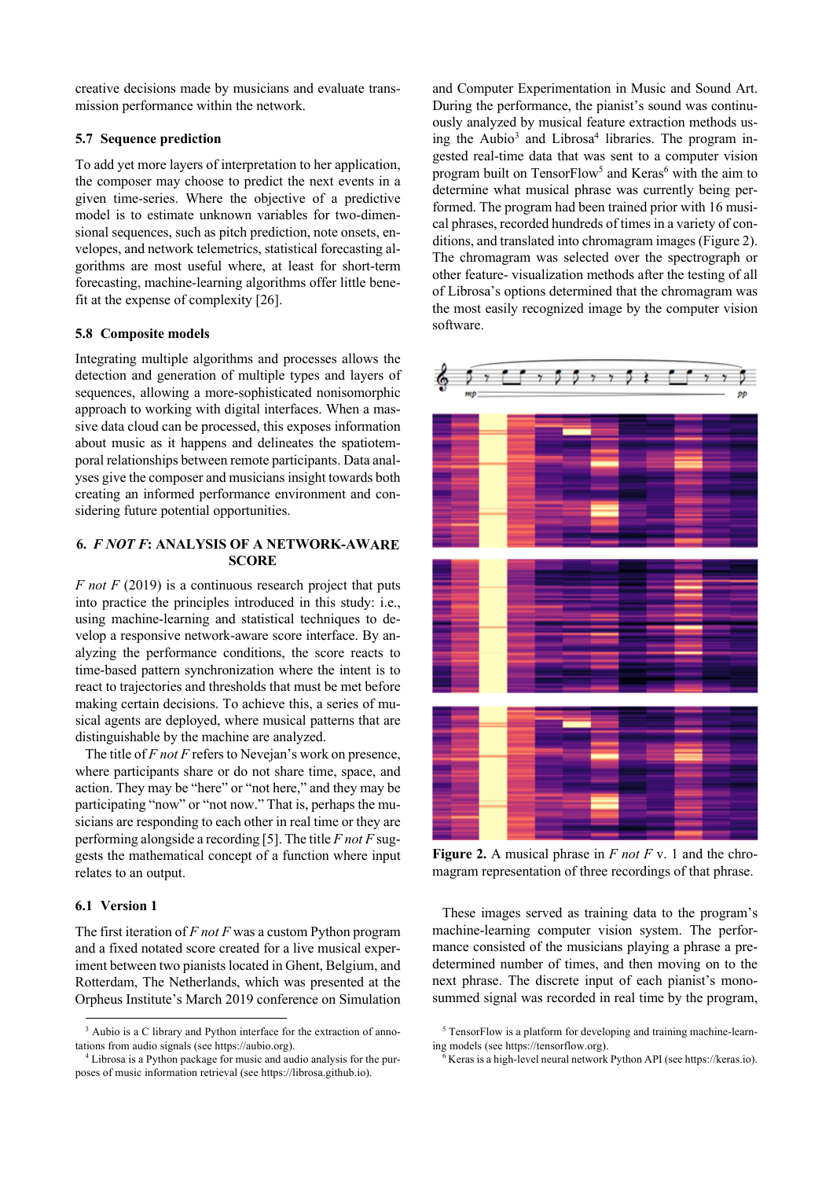creative decisions made by musicians and evaluate transmission performance within the network.

# **5.7 Sequence prediction**

To add yet more layers of interpretation to her application, the composer may choose to predict the next events in a given time-series. Where the objective of a predictive model is to estimate unknown variables for two-dimensional sequences, such as pitch prediction, note onsets, envelopes, and network telemetrics, statistical forecasting algorithms are most useful where, at least for short-term forecasting, machine-learning algorithms offer little benefit at the expense of complexity [26].

#### **5.8 Composite models**

Integrating multiple algorithms and processes allows the detection and generation of multiple types and layers of sequences, allowing a more-sophisticated nonisomorphic approach to working with digital interfaces. When a massive data cloud can be processed, this exposes information about music as it happens and delineates the spatiotemporal relationships between remote participants. Data analyses give the composer and musicians insight towards both creating an informed performance environment and considering future potential opportunities.

# **6.** *F NOT F***: ANALYSIS OF A NETWORK-AWARE SCORE**

*F not F* (2019) is a continuous research project that puts into practice the principles introduced in this study: i.e., using machine-learning and statistical techniques to develop a responsive network-aware score interface. By analyzing the performance conditions, the score reacts to time-based pattern synchronization where the intent is to react to trajectories and thresholds that must be met before making certain decisions. To achieve this, a series of musical agents are deployed, where musical patterns that are distinguishable by the machine are analyzed.

The title of *F not F* refers to Nevejan's work on presence, where participants share or do not share time, space, and action. They may be "here" or "not here," and they may be participating "now" or "not now." That is, perhaps the musicians are responding to each other in real time or they are performing alongside a recording [5]. The title *F not F* suggests the mathematical concept of a function where input relates to an output.

#### **6.1 Version 1**

The first iteration of *F not F* was a custom Python program and a fixed notated score created for a live musical experiment between two pianists located in Ghent, Belgium, and Rotterdam, The Netherlands, which was presented at the Orpheus Institute's March 2019 conference on Simulation and Computer Experimentation in Music and Sound Art. During the performance, the pianist's sound was continuously analyzed by musical feature extraction methods using the Aubio<sup>3</sup> and Librosa<sup>4</sup> libraries. The program ingested real-time data that was sent to a computer vision program built on TensorFlow<sup>5</sup> and Keras<sup>6</sup> with the aim to determine what musical phrase was currently being performed. The program had been trained prior with 16 musical phrases, recorded hundreds of times in a variety of conditions, and translated into chromagram images (Figure 2). The chromagram was selected over the spectrograph or other feature- visualization methods after the testing of all of Librosa's options determined that the chromagram was the most easily recognized image by the computer vision software.



**Figure 2.** A musical phrase in *F not F* v. 1 and the chromagram representation of three recordings of that phrase.

These images served as training data to the program's machine-learning computer vision system. The performance consisted of the musicians playing a phrase a predetermined number of times, and then moving on to the next phrase. The discrete input of each pianist's monosummed signal was recorded in real time by the program,

<sup>&</sup>lt;sup>3</sup> Aubio is a C library and Python interface for the extraction of annotations from audio signals (see https://aubio.org).

<sup>4</sup> Librosa is a Python package for music and audio analysis for the purposes of music information retrieval (see https://librosa.github.io).

<sup>&</sup>lt;sup>5</sup> TensorFlow is a platform for developing and training machine-learning models (see https://tensorflow.org).

<sup>6</sup> Keras is a high-level neural network Python API (see https://keras.io).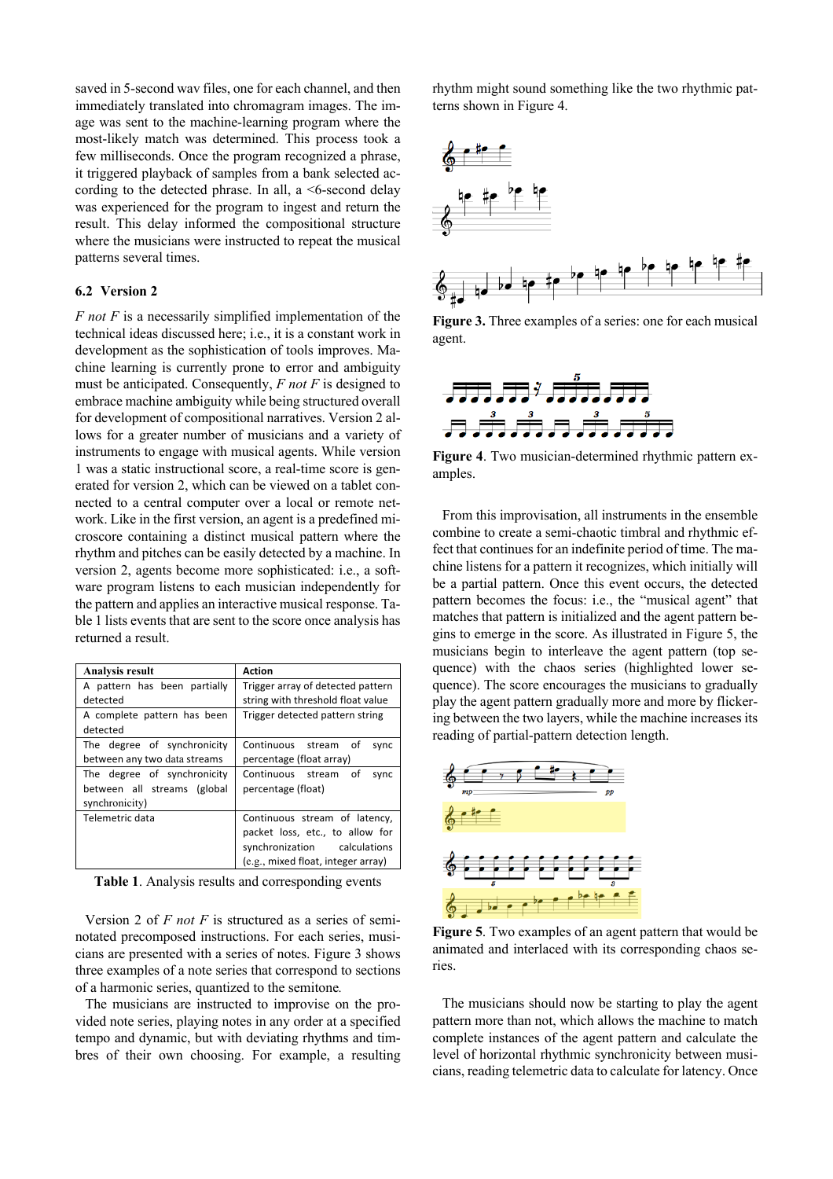saved in 5-second wav files, one for each channel, and then immediately translated into chromagram images. The image was sent to the machine-learning program where the most-likely match was determined. This process took a few milliseconds. Once the program recognized a phrase, it triggered playback of samples from a bank selected according to the detected phrase. In all, a <6-second delay was experienced for the program to ingest and return the result. This delay informed the compositional structure where the musicians were instructed to repeat the musical patterns several times.

### **6.2 Version 2**

*F not F* is a necessarily simplified implementation of the technical ideas discussed here; i.e., it is a constant work in development as the sophistication of tools improves. Machine learning is currently prone to error and ambiguity must be anticipated. Consequently, *F not F* is designed to embrace machine ambiguity while being structured overall for development of compositional narratives. Version 2 allows for a greater number of musicians and a variety of instruments to engage with musical agents. While version 1 was a static instructional score, a real-time score is generated for version 2, which can be viewed on a tablet connected to a central computer over a local or remote network. Like in the first version, an agent is a predefined microscore containing a distinct musical pattern where the rhythm and pitches can be easily detected by a machine. In version 2, agents become more sophisticated: i.e., a software program listens to each musician independently for the pattern and applies an interactive musical response. Table 1 lists events that are sent to the score once analysis has returned a result.

| <b>Analysis result</b>       | <b>Action</b>                      |
|------------------------------|------------------------------------|
| A pattern has been partially | Trigger array of detected pattern  |
| detected                     | string with threshold float value  |
| A complete pattern has been  | Trigger detected pattern string    |
| detected                     |                                    |
| The degree of synchronicity  | Continuous stream<br>of<br>sync    |
| between any two data streams | percentage (float array)           |
| The degree of synchronicity  | Continuous stream<br>of<br>sync    |
| between all streams (global  | percentage (float)                 |
| synchronicity)               |                                    |
| Telemetric data              | Continuous stream of latency,      |
|                              | packet loss, etc., to allow for    |
|                              | synchronization calculations       |
|                              | (e.g., mixed float, integer array) |

**Table 1**. Analysis results and corresponding events

Version 2 of *F not F* is structured as a series of seminotated precomposed instructions. For each series, musicians are presented with a series of notes. Figure 3 shows three examples of a note series that correspond to sections of a harmonic series, quantized to the semitone*.*

The musicians are instructed to improvise on the provided note series, playing notes in any order at a specified tempo and dynamic, but with deviating rhythms and timbres of their own choosing. For example, a resulting rhythm might sound something like the two rhythmic patterns shown in Figure 4.



**Figure 3.** Three examples of a series: one for each musical agent.



**Figure 4**. Two musician-determined rhythmic pattern examples.

From this improvisation, all instruments in the ensemble combine to create a semi-chaotic timbral and rhythmic effect that continues for an indefinite period of time. The machine listens for a pattern it recognizes, which initially will be a partial pattern. Once this event occurs, the detected pattern becomes the focus: i.e., the "musical agent" that matches that pattern is initialized and the agent pattern begins to emerge in the score. As illustrated in Figure 5, the musicians begin to interleave the agent pattern (top sequence) with the chaos series (highlighted lower sequence). The score encourages the musicians to gradually play the agent pattern gradually more and more by flickering between the two layers, while the machine increases its reading of partial-pattern detection length.



**Figure 5**. Two examples of an agent pattern that would be animated and interlaced with its corresponding chaos series.

The musicians should now be starting to play the agent pattern more than not, which allows the machine to match complete instances of the agent pattern and calculate the level of horizontal rhythmic synchronicity between musicians, reading telemetric data to calculate for latency. Once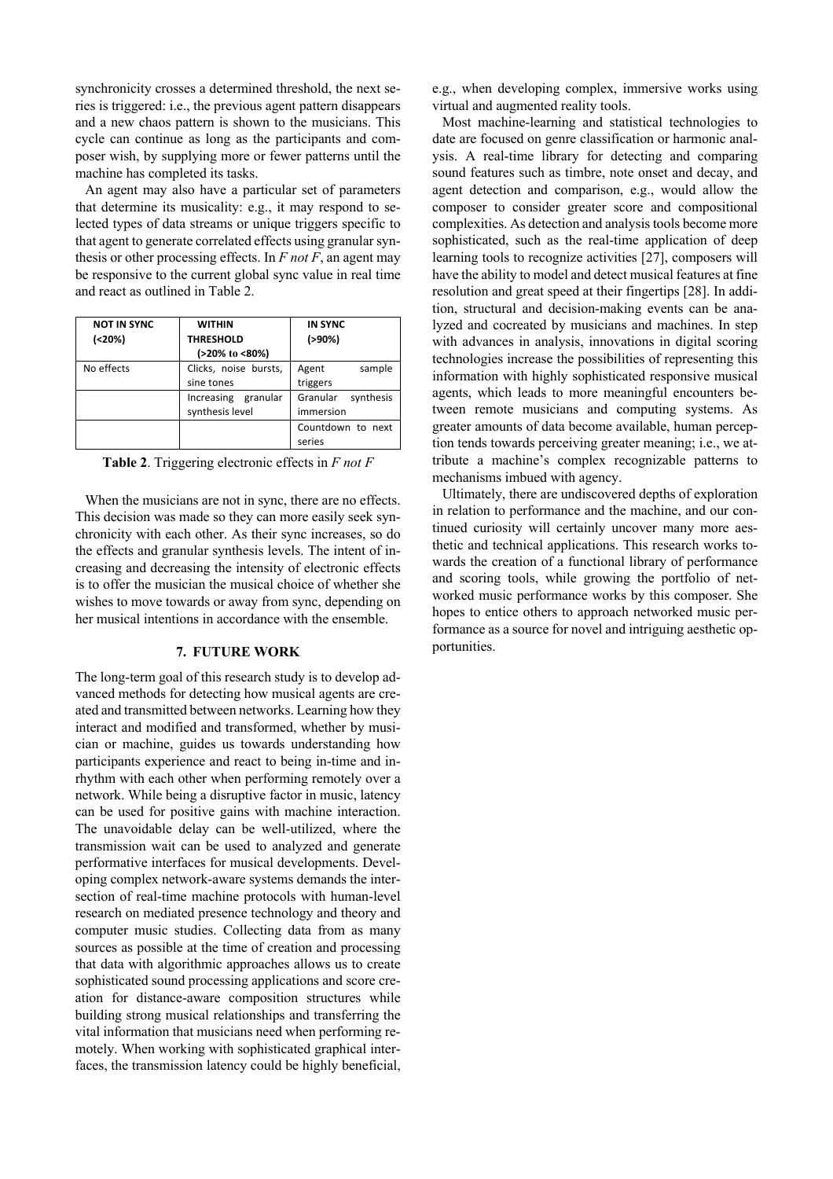synchronicity crosses a determined threshold, the next series is triggered: i.e., the previous agent pattern disappears and a new chaos pattern is shown to the musicians. This cycle can continue as long as the participants and composer wish, by supplying more or fewer patterns until the machine has completed its tasks.

An agent may also have a particular set of parameters that determine its musicality: e.g., it may respond to selected types of data streams or unique triggers specific to that agent to generate correlated effects using granular synthesis or other processing effects. In *F not F*, an agent may be responsive to the current global sync value in real time and react as outlined in Table 2.

| <b>NOT IN SYNC</b> | <b>WITHIN</b>             | <b>IN SYNC</b>        |
|--------------------|---------------------------|-----------------------|
|                    |                           |                       |
| (20%)              | <b>THRESHOLD</b>          | (>90%)                |
|                    | $(20\% \text{ to } 50\%)$ |                       |
| No effects         | Clicks, noise bursts,     | Agent<br>sample       |
|                    | sine tones                | triggers              |
|                    | Increasing granular       | Granular<br>synthesis |
|                    | synthesis level           | immersion             |
|                    |                           | Countdown to next     |
|                    |                           | series                |

**Table 2**. Triggering electronic effects in *F not F*

When the musicians are not in sync, there are no effects. This decision was made so they can more easily seek synchronicity with each other. As their sync increases, so do the effects and granular synthesis levels. The intent of increasing and decreasing the intensity of electronic effects is to offer the musician the musical choice of whether she wishes to move towards or away from sync, depending on her musical intentions in accordance with the ensemble.

## **7. FUTURE WORK**

The long-term goal of this research study is to develop advanced methods for detecting how musical agents are created and transmitted between networks. Learning how they interact and modified and transformed, whether by musician or machine, guides us towards understanding how participants experience and react to being in-time and inrhythm with each other when performing remotely over a network. While being a disruptive factor in music, latency can be used for positive gains with machine interaction. The unavoidable delay can be well-utilized, where the transmission wait can be used to analyzed and generate performative interfaces for musical developments. Developing complex network-aware systems demands the intersection of real-time machine protocols with human-level research on mediated presence technology and theory and computer music studies. Collecting data from as many sources as possible at the time of creation and processing that data with algorithmic approaches allows us to create sophisticated sound processing applications and score creation for distance-aware composition structures while building strong musical relationships and transferring the vital information that musicians need when performing remotely. When working with sophisticated graphical interfaces, the transmission latency could be highly beneficial,

e.g., when developing complex, immersive works using virtual and augmented reality tools.

Most machine-learning and statistical technologies to date are focused on genre classification or harmonic analysis. A real-time library for detecting and comparing sound features such as timbre, note onset and decay, and agent detection and comparison, e.g., would allow the composer to consider greater score and compositional complexities. As detection and analysis tools become more sophisticated, such as the real-time application of deep learning tools to recognize activities [27], composers will have the ability to model and detect musical features at fine resolution and great speed at their fingertips [28]. In addition, structural and decision-making events can be analyzed and cocreated by musicians and machines. In step with advances in analysis, innovations in digital scoring technologies increase the possibilities of representing this information with highly sophisticated responsive musical agents, which leads to more meaningful encounters between remote musicians and computing systems. As greater amounts of data become available, human perception tends towards perceiving greater meaning; i.e., we attribute a machine's complex recognizable patterns to mechanisms imbued with agency.

Ultimately, there are undiscovered depths of exploration in relation to performance and the machine, and our continued curiosity will certainly uncover many more aesthetic and technical applications. This research works towards the creation of a functional library of performance and scoring tools, while growing the portfolio of networked music performance works by this composer. She hopes to entice others to approach networked music performance as a source for novel and intriguing aesthetic opportunities.